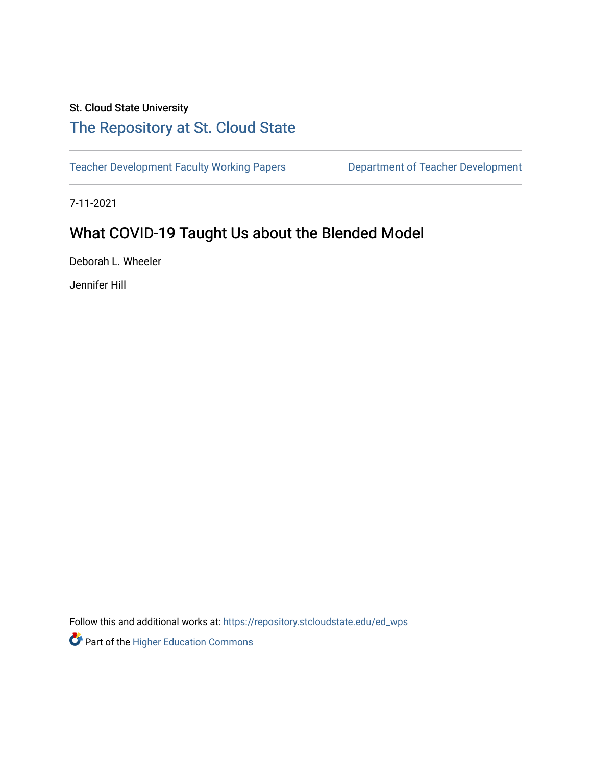# St. Cloud State University

# [The Repository at St. Cloud State](https://repository.stcloudstate.edu/)

[Teacher Development Faculty Working Papers](https://repository.stcloudstate.edu/ed_wps) **Department of Teacher Development** 

7-11-2021

# What COVID-19 Taught Us about the Blended Model

Deborah L. Wheeler

Jennifer Hill

Follow this and additional works at: [https://repository.stcloudstate.edu/ed\\_wps](https://repository.stcloudstate.edu/ed_wps?utm_source=repository.stcloudstate.edu%2Fed_wps%2F1&utm_medium=PDF&utm_campaign=PDFCoverPages)

Part of the [Higher Education Commons](http://network.bepress.com/hgg/discipline/1245?utm_source=repository.stcloudstate.edu%2Fed_wps%2F1&utm_medium=PDF&utm_campaign=PDFCoverPages)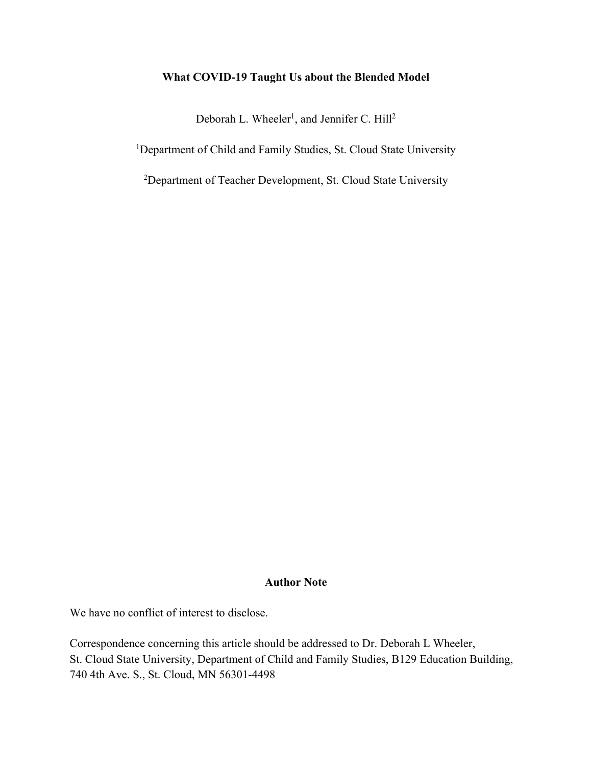# **What COVID-19 Taught Us about the Blended Model**

Deborah L. Wheeler<sup>1</sup>, and Jennifer C. Hill<sup>2</sup>

<sup>1</sup>Department of Child and Family Studies, St. Cloud State University

<sup>2</sup>Department of Teacher Development, St. Cloud State University

# **Author Note**

We have no conflict of interest to disclose.

Correspondence concerning this article should be addressed to Dr. Deborah L Wheeler, St. Cloud State University, Department of Child and Family Studies, B129 Education Building, 740 4th Ave. S., St. Cloud, MN 56301-4498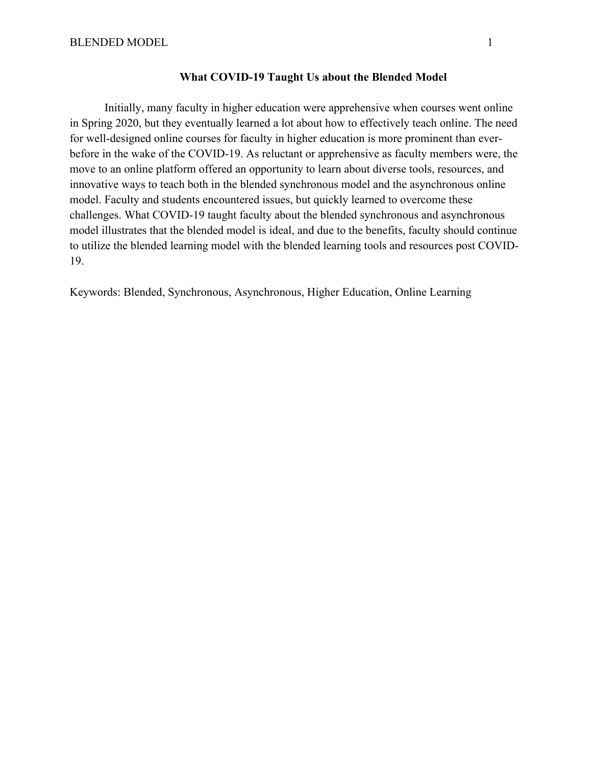#### **What COVID-19 Taught Us about the Blended Model**

Initially, many faculty in higher education were apprehensive when courses went online in Spring 2020, but they eventually learned a lot about how to effectively teach online. The need for well-designed online courses for faculty in higher education is more prominent than everbefore in the wake of the COVID-19. As reluctant or apprehensive as faculty members were, the move to an online platform offered an opportunity to learn about diverse tools, resources, and innovative ways to teach both in the blended synchronous model and the asynchronous online model. Faculty and students encountered issues, but quickly learned to overcome these challenges. What COVID-19 taught faculty about the blended synchronous and asynchronous model illustrates that the blended model is ideal, and due to the benefits, faculty should continue to utilize the blended learning model with the blended learning tools and resources post COVID-19.

Keywords: Blended, Synchronous, Asynchronous, Higher Education, Online Learning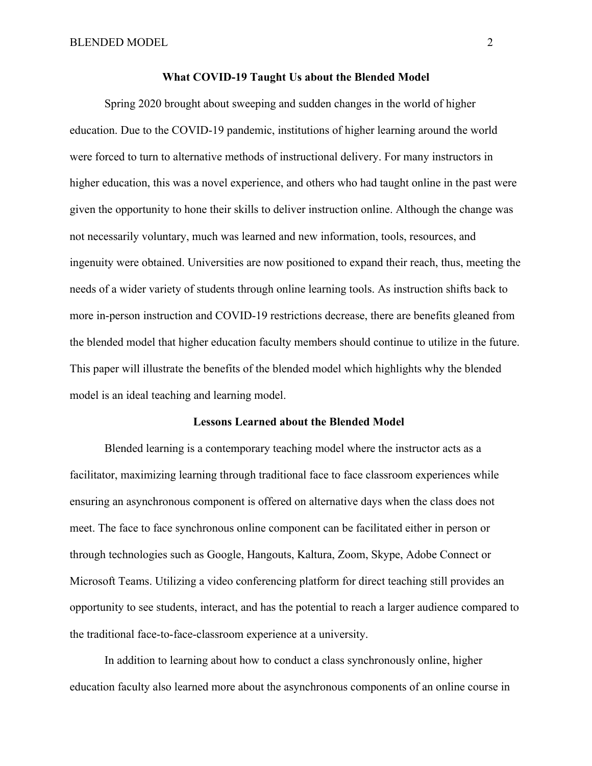Spring 2020 brought about sweeping and sudden changes in the world of higher education. Due to the COVID-19 pandemic, institutions of higher learning around the world were forced to turn to alternative methods of instructional delivery. For many instructors in higher education, this was a novel experience, and others who had taught online in the past were given the opportunity to hone their skills to deliver instruction online. Although the change was not necessarily voluntary, much was learned and new information, tools, resources, and ingenuity were obtained. Universities are now positioned to expand their reach, thus, meeting the needs of a wider variety of students through online learning tools. As instruction shifts back to more in-person instruction and COVID-19 restrictions decrease, there are benefits gleaned from the blended model that higher education faculty members should continue to utilize in the future. This paper will illustrate the benefits of the blended model which highlights why the blended model is an ideal teaching and learning model.

# **Lessons Learned about the Blended Model**

 Blended learning is a contemporary teaching model where the instructor acts as a facilitator, maximizing learning through traditional face to face classroom experiences while ensuring an asynchronous component is offered on alternative days when the class does not meet. The face to face synchronous online component can be facilitated either in person or through technologies such as Google, Hangouts, Kaltura, Zoom, Skype, Adobe Connect or Microsoft Teams. Utilizing a video conferencing platform for direct teaching still provides an opportunity to see students, interact, and has the potential to reach a larger audience compared to the traditional face-to-face-classroom experience at a university.

In addition to learning about how to conduct a class synchronously online, higher education faculty also learned more about the asynchronous components of an online course in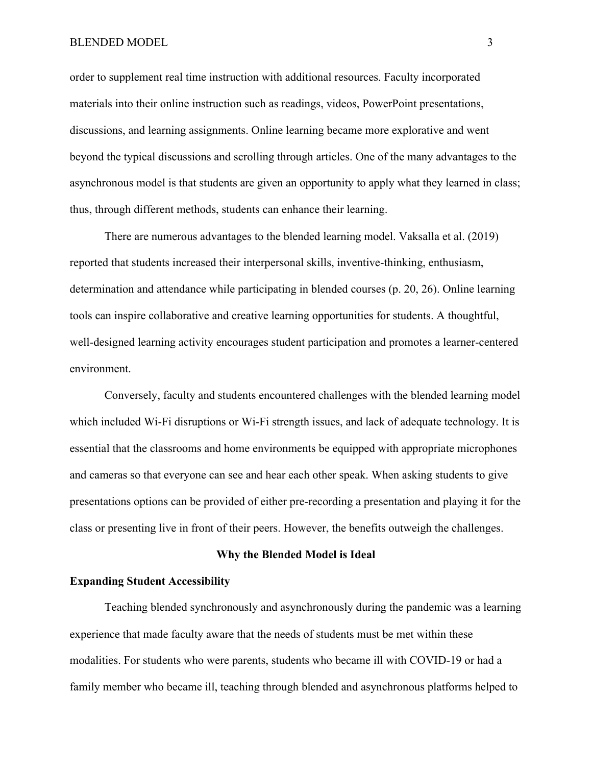#### BLENDED MODEL 3

order to supplement real time instruction with additional resources. Faculty incorporated materials into their online instruction such as readings, videos, PowerPoint presentations, discussions, and learning assignments. Online learning became more explorative and went beyond the typical discussions and scrolling through articles. One of the many advantages to the asynchronous model is that students are given an opportunity to apply what they learned in class; thus, through different methods, students can enhance their learning.

There are numerous advantages to the blended learning model. Vaksalla et al. (2019) reported that students increased their interpersonal skills, inventive-thinking, enthusiasm, determination and attendance while participating in blended courses (p. 20, 26). Online learning tools can inspire collaborative and creative learning opportunities for students. A thoughtful, well-designed learning activity encourages student participation and promotes a learner-centered environment.

Conversely, faculty and students encountered challenges with the blended learning model which included Wi-Fi disruptions or Wi-Fi strength issues, and lack of adequate technology. It is essential that the classrooms and home environments be equipped with appropriate microphones and cameras so that everyone can see and hear each other speak. When asking students to give presentations options can be provided of either pre-recording a presentation and playing it for the class or presenting live in front of their peers. However, the benefits outweigh the challenges.

# **Why the Blended Model is Ideal**

# **Expanding Student Accessibility**

Teaching blended synchronously and asynchronously during the pandemic was a learning experience that made faculty aware that the needs of students must be met within these modalities. For students who were parents, students who became ill with COVID-19 or had a family member who became ill, teaching through blended and asynchronous platforms helped to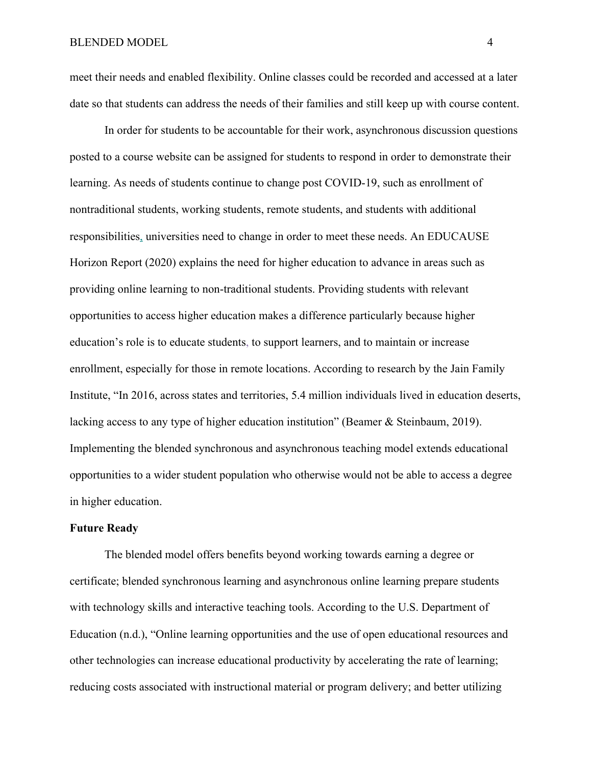meet their needs and enabled flexibility. Online classes could be recorded and accessed at a later date so that students can address the needs of their families and still keep up with course content.

In order for students to be accountable for their work, asynchronous discussion questions posted to a course website can be assigned for students to respond in order to demonstrate their learning. As needs of students continue to change post COVID-19, such as enrollment of nontraditional students, working students, remote students, and students with additional responsibilities, universities need to change in order to meet these needs. An EDUCAUSE Horizon Report (2020) explains the need for higher education to advance in areas such as providing online learning to non-traditional students. Providing students with relevant opportunities to access higher education makes a difference particularly because higher education's role is to educate students, to support learners, and to maintain or increase enrollment, especially for those in remote locations. According to research by the Jain Family Institute, "In 2016, across states and territories, 5.4 million individuals lived in education deserts, lacking access to any type of higher education institution" (Beamer & Steinbaum, 2019). Implementing the blended synchronous and asynchronous teaching model extends educational opportunities to a wider student population who otherwise would not be able to access a degree in higher education.

### **Future Ready**

The blended model offers benefits beyond working towards earning a degree or certificate; blended synchronous learning and asynchronous online learning prepare students with technology skills and interactive teaching tools. According to the U.S. Department of Education (n.d.), "Online learning opportunities and the use of open educational resources and other technologies can increase educational productivity by accelerating the rate of learning; reducing costs associated with instructional material or program delivery; and better utilizing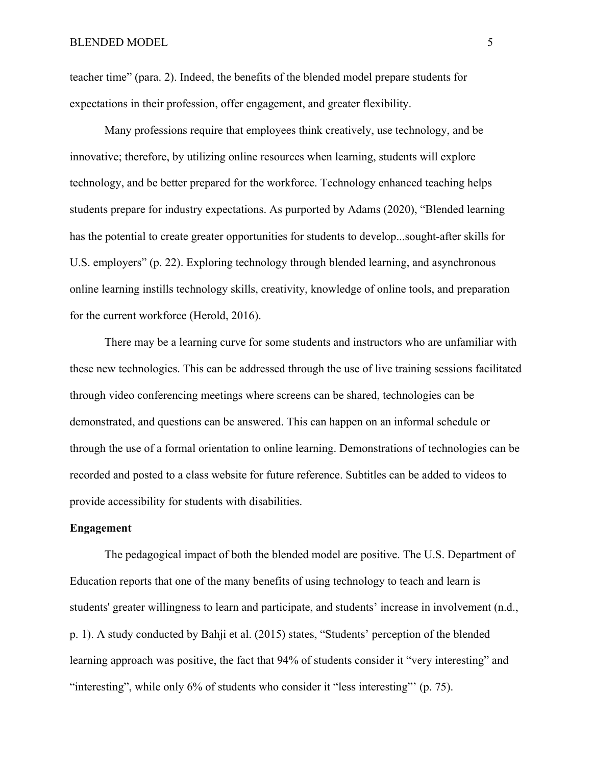teacher time" (para. 2). Indeed, the benefits of the blended model prepare students for expectations in their profession, offer engagement, and greater flexibility.

Many professions require that employees think creatively, use technology, and be innovative; therefore, by utilizing online resources when learning, students will explore technology, and be better prepared for the workforce. Technology enhanced teaching helps students prepare for industry expectations. As purported by Adams (2020), "Blended learning has the potential to create greater opportunities for students to develop...sought-after skills for U.S. employers" (p. 22). Exploring technology through blended learning, and asynchronous online learning instills technology skills, creativity, knowledge of online tools, and preparation for the current workforce (Herold, 2016).

There may be a learning curve for some students and instructors who are unfamiliar with these new technologies. This can be addressed through the use of live training sessions facilitated through video conferencing meetings where screens can be shared, technologies can be demonstrated, and questions can be answered. This can happen on an informal schedule or through the use of a formal orientation to online learning. Demonstrations of technologies can be recorded and posted to a class website for future reference. Subtitles can be added to videos to provide accessibility for students with disabilities.

#### **Engagement**

The pedagogical impact of both the blended model are positive. The U.S. Department of Education reports that one of the many benefits of using technology to teach and learn is students' greater willingness to learn and participate, and students' increase in involvement (n.d., p. 1). A study conducted by Bahji et al. (2015) states, "Students' perception of the blended learning approach was positive, the fact that 94% of students consider it "very interesting" and "interesting", while only 6% of students who consider it "less interesting"' (p. 75).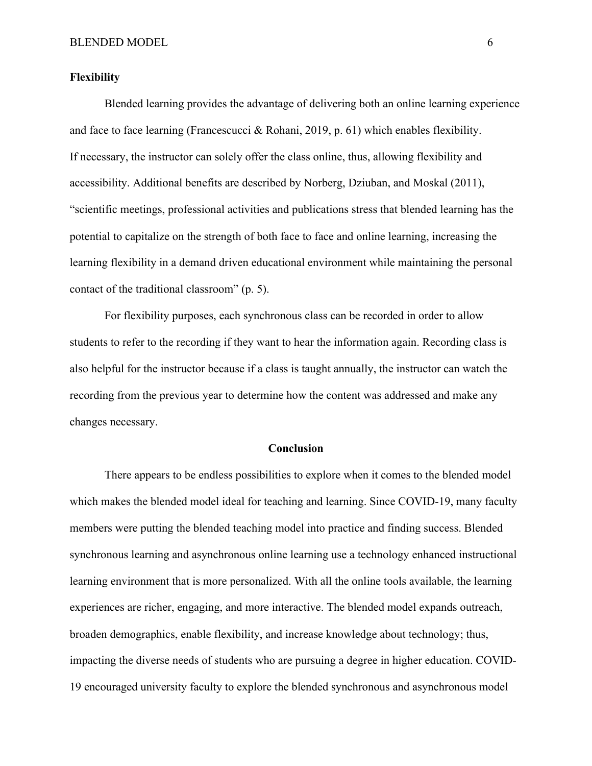#### **Flexibility**

Blended learning provides the advantage of delivering both an online learning experience and face to face learning (Francescucci & Rohani, 2019, p. 61) which enables flexibility. If necessary, the instructor can solely offer the class online, thus, allowing flexibility and accessibility. Additional benefits are described by Norberg, Dziuban, and Moskal (2011), "scientific meetings, professional activities and publications stress that blended learning has the potential to capitalize on the strength of both face to face and online learning, increasing the learning flexibility in a demand driven educational environment while maintaining the personal contact of the traditional classroom" (p. 5).

For flexibility purposes, each synchronous class can be recorded in order to allow students to refer to the recording if they want to hear the information again. Recording class is also helpful for the instructor because if a class is taught annually, the instructor can watch the recording from the previous year to determine how the content was addressed and make any changes necessary.

### **Conclusion**

There appears to be endless possibilities to explore when it comes to the blended model which makes the blended model ideal for teaching and learning. Since COVID-19, many faculty members were putting the blended teaching model into practice and finding success. Blended synchronous learning and asynchronous online learning use a technology enhanced instructional learning environment that is more personalized. With all the online tools available, the learning experiences are richer, engaging, and more interactive. The blended model expands outreach, broaden demographics, enable flexibility, and increase knowledge about technology; thus, impacting the diverse needs of students who are pursuing a degree in higher education. COVID-19 encouraged university faculty to explore the blended synchronous and asynchronous model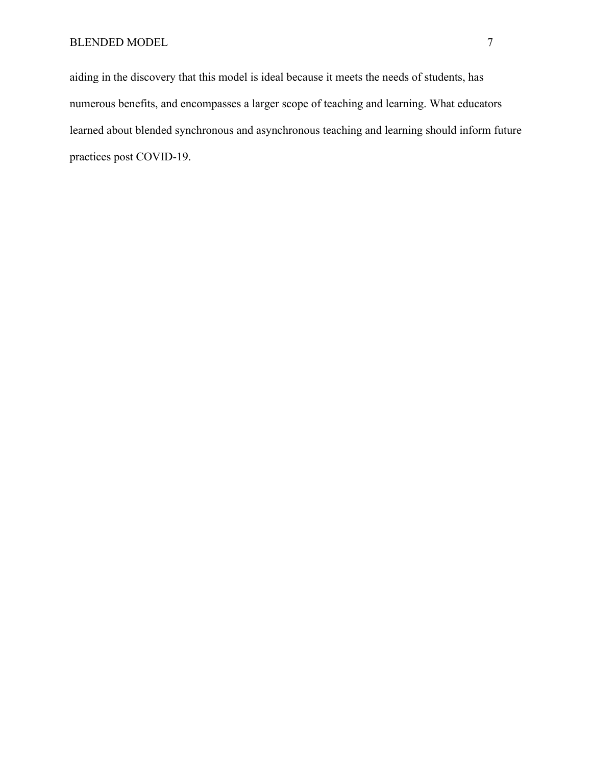aiding in the discovery that this model is ideal because it meets the needs of students, has numerous benefits, and encompasses a larger scope of teaching and learning. What educators learned about blended synchronous and asynchronous teaching and learning should inform future practices post COVID-19.